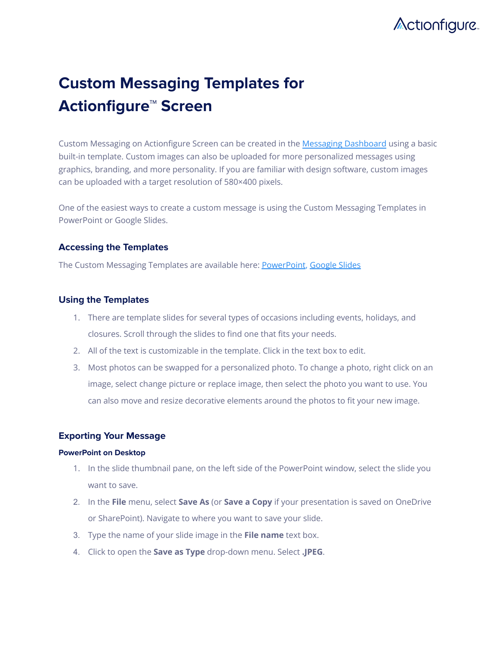

# **Custom Messaging Templates for Actionfigure™ Screen**

Custom Messaging on Actionfigure Screen can be created in the Messaging [Dashboard](https://dashboard.transitscreen.io/) using a basic built-in template. Custom images can also be uploaded for more personalized messages using graphics, branding, and more personality. If you are familiar with design software, custom images can be uploaded with a target resolution of 580×400 pixels.

One of the easiest ways to create a custom message is using the Custom Messaging Templates in PowerPoint or Google Slides.

# **Accessing the Templates**

The Custom Messaging Templates are available here: [PowerPoint](https://docs.google.com/presentation/d/1dy7LaVqxg50_GGQ3y77jWiEWBMwqzoAA/edit?usp=sharing&ouid=113427087434766781389&rtpof=true&sd=true), [Google](https://docs.google.com/presentation/d/1NzywiZI3EuzyfFSGHdG-CMc6u_4OsyEpqs4ZZxWoicc/edit?usp=sharing) Slides

# **Using the Templates**

- 1. There are template slides for several types of occasions including events, holidays, and closures. Scroll through the slides to find one that fits your needs.
- 2. All of the text is customizable in the template. Click in the text box to edit.
- 3. Most photos can be swapped for a personalized photo. To change a photo, right click on an image, select change picture or replace image, then select the photo you want to use. You can also move and resize decorative elements around the photos to fit your new image.

# **Exporting Your Message**

## **PowerPoint on Desktop**

- 1. In the slide thumbnail pane, on the left side of the PowerPoint window, select the slide you want to save.
- 2. In the **File** menu, select **Save As** (or **Save a Copy** if your presentation is saved on OneDrive or SharePoint). Navigate to where you want to save your slide.
- 3. Type the name of your slide image in the **File name** text box.
- 4. Click to open the **Save as Type** drop-down menu. Select **.JPEG**.